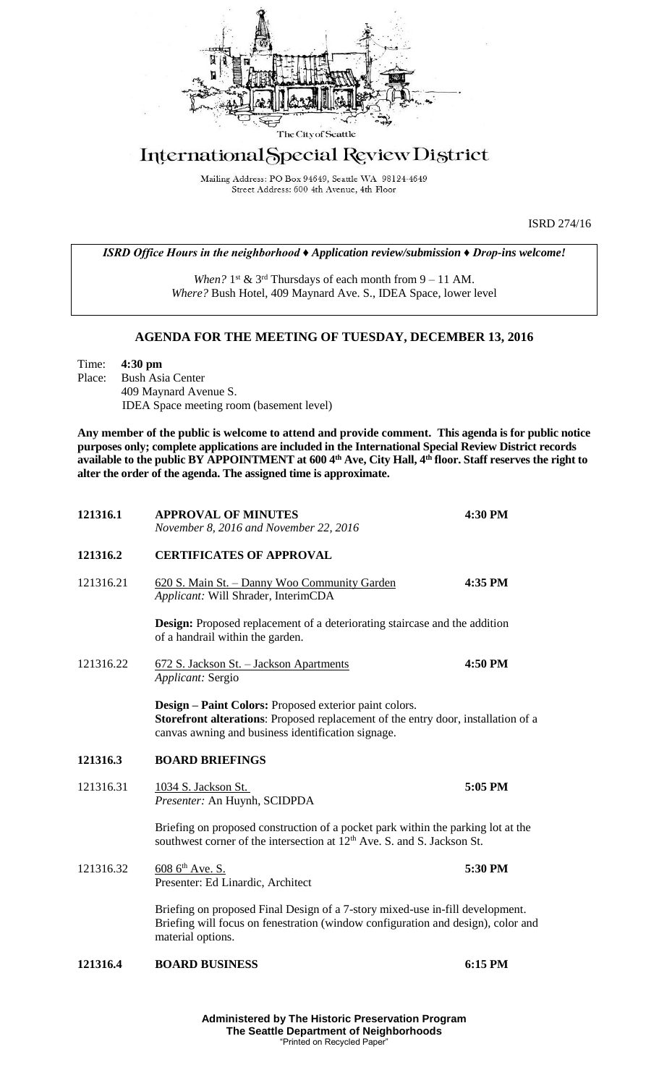

## International Special Review District

Mailing Address: PO Box 94649, Seattle WA 98124-4649 Street Address: 600 4th Avenue, 4th Floor

ISRD 274/16

*ISRD Office Hours in the neighborhood ♦ Application review/submission ♦ Drop-ins welcome!*

When?  $1^{st}$  &  $3^{rd}$  Thursdays of each month from  $9 - 11$  AM. *Where?* Bush Hotel, 409 Maynard Ave. S., IDEA Space, lower level

## **AGENDA FOR THE MEETING OF TUESDAY, DECEMBER 13, 2016**

Time: **4:30 pm** Place: Bush Asia Center 409 Maynard Avenue S. IDEA Space meeting room (basement level)

**Any member of the public is welcome to attend and provide comment. This agenda is for public notice purposes only; complete applications are included in the International Special Review District records available to the public BY APPOINTMENT at 600 4th Ave, City Hall, 4th floor. Staff reserves the right to alter the order of the agenda. The assigned time is approximate.** 

| 121316.1  | <b>APPROVAL OF MINUTES</b><br>November 8, 2016 and November 22, 2016                                                                                                                              | 4:30 PM |
|-----------|---------------------------------------------------------------------------------------------------------------------------------------------------------------------------------------------------|---------|
| 121316.2  | <b>CERTIFICATES OF APPROVAL</b>                                                                                                                                                                   |         |
| 121316.21 | 620 S. Main St. - Danny Woo Community Garden<br>Applicant: Will Shrader, InterimCDA                                                                                                               | 4:35 PM |
|           | Design: Proposed replacement of a deteriorating staircase and the addition<br>of a handrail within the garden.                                                                                    |         |
| 121316.22 | 672 S. Jackson St. - Jackson Apartments<br>Applicant: Sergio                                                                                                                                      | 4:50 PM |
|           | Design - Paint Colors: Proposed exterior paint colors.<br>Storefront alterations: Proposed replacement of the entry door, installation of a<br>canvas awning and business identification signage. |         |
| 121316.3  | <b>BOARD BRIEFINGS</b>                                                                                                                                                                            |         |
| 121316.31 | 1034 S. Jackson St.<br>Presenter: An Huynh, SCIDPDA                                                                                                                                               | 5:05 PM |
|           | Briefing on proposed construction of a pocket park within the parking lot at the<br>southwest corner of the intersection at 12 <sup>th</sup> Ave. S. and S. Jackson St.                           |         |
| 121316.32 | $6086^{\text{th}}$ Ave. S.<br>Presenter: Ed Linardic, Architect                                                                                                                                   | 5:30 PM |
|           | Briefing on proposed Final Design of a 7-story mixed-use in-fill development.<br>Briefing will focus on fenestration (window configuration and design), color and<br>material options.            |         |
| 121316.4  | <b>BOARD BUSINESS</b>                                                                                                                                                                             | 6:15 PM |